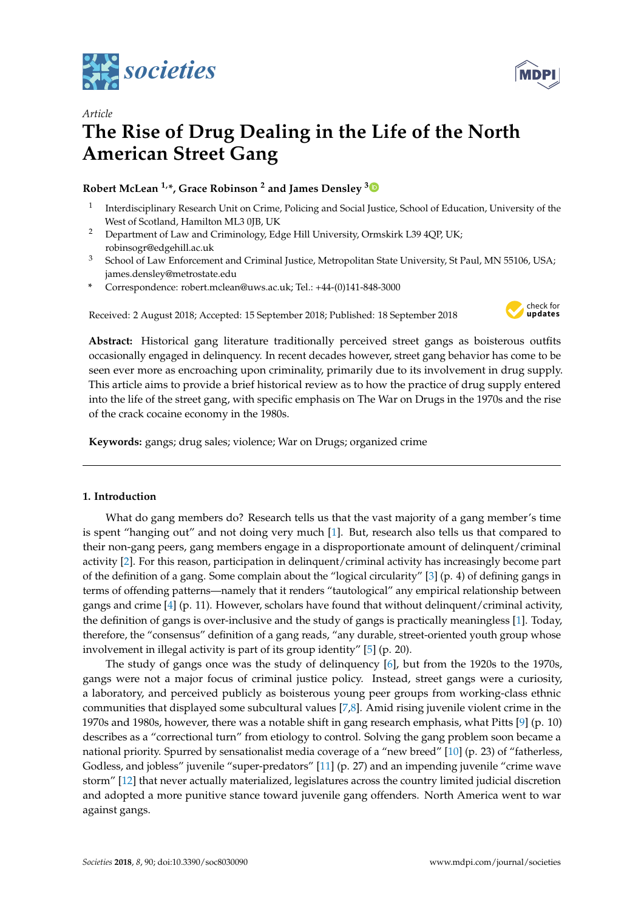



# *Article* **The Rise of Drug Dealing in the Life of the North American Street Gang**

# **Robert McLean 1,\*, Grace Robinson <sup>2</sup> and James Densley [3](https://orcid.org/0000-0003-4593-1880)**

- 1 Interdisciplinary Research Unit on Crime, Policing and Social Justice, School of Education, University of the West of Scotland, Hamilton ML3 0JB, UK
- <sup>2</sup> Department of Law and Criminology, Edge Hill University, Ormskirk L39 4QP, UK; robinsogr@edgehill.ac.uk
- <sup>3</sup> School of Law Enforcement and Criminal Justice, Metropolitan State University, St Paul, MN 55106, USA; james.densley@metrostate.edu
- **\*** Correspondence: robert.mclean@uws.ac.uk; Tel.: +44-(0)141-848-3000

Received: 2 August 2018; Accepted: 15 September 2018; Published: 18 September 2018



**Abstract:** Historical gang literature traditionally perceived street gangs as boisterous outfits occasionally engaged in delinquency. In recent decades however, street gang behavior has come to be seen ever more as encroaching upon criminality, primarily due to its involvement in drug supply. This article aims to provide a brief historical review as to how the practice of drug supply entered into the life of the street gang, with specific emphasis on The War on Drugs in the 1970s and the rise of the crack cocaine economy in the 1980s.

**Keywords:** gangs; drug sales; violence; War on Drugs; organized crime

# **1. Introduction**

What do gang members do? Research tells us that the vast majority of a gang member's time is spent "hanging out" and not doing very much [\[1\]](#page-6-0). But, research also tells us that compared to their non-gang peers, gang members engage in a disproportionate amount of delinquent/criminal activity [\[2\]](#page-6-1). For this reason, participation in delinquent/criminal activity has increasingly become part of the definition of a gang. Some complain about the "logical circularity" [\[3\]](#page-6-2) (p. 4) of defining gangs in terms of offending patterns—namely that it renders "tautological" any empirical relationship between gangs and crime [\[4\]](#page-6-3) (p. 11). However, scholars have found that without delinquent/criminal activity, the definition of gangs is over-inclusive and the study of gangs is practically meaningless [\[1\]](#page-6-0). Today, therefore, the "consensus" definition of a gang reads, "any durable, street-oriented youth group whose involvement in illegal activity is part of its group identity" [\[5\]](#page-6-4) (p. 20).

The study of gangs once was the study of delinquency [\[6\]](#page-6-5), but from the 1920s to the 1970s, gangs were not a major focus of criminal justice policy. Instead, street gangs were a curiosity, a laboratory, and perceived publicly as boisterous young peer groups from working-class ethnic communities that displayed some subcultural values [\[7](#page-6-6)[,8\]](#page-6-7). Amid rising juvenile violent crime in the 1970s and 1980s, however, there was a notable shift in gang research emphasis, what Pitts [\[9\]](#page-6-8) (p. 10) describes as a "correctional turn" from etiology to control. Solving the gang problem soon became a national priority. Spurred by sensationalist media coverage of a "new breed" [\[10\]](#page-6-9) (p. 23) of "fatherless, Godless, and jobless" juvenile "super-predators" [\[11\]](#page-6-10) (p. 27) and an impending juvenile "crime wave storm" [\[12\]](#page-7-0) that never actually materialized, legislatures across the country limited judicial discretion and adopted a more punitive stance toward juvenile gang offenders. North America went to war against gangs.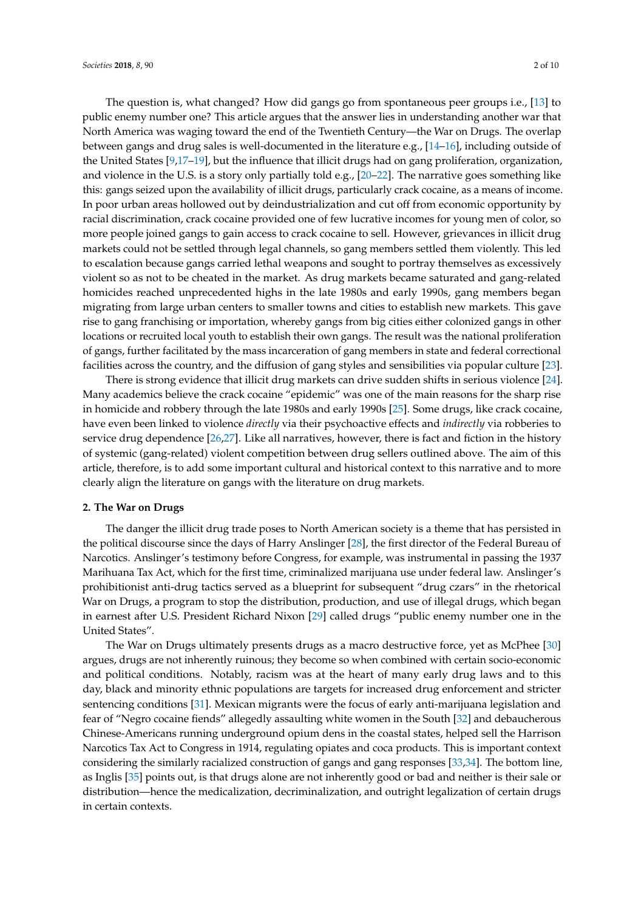The question is, what changed? How did gangs go from spontaneous peer groups i.e., [\[13\]](#page-7-1) to public enemy number one? This article argues that the answer lies in understanding another war that North America was waging toward the end of the Twentieth Century—the War on Drugs. The overlap between gangs and drug sales is well-documented in the literature e.g., [\[14](#page-7-2)[–16\]](#page-7-3), including outside of the United States [\[9,](#page-6-8)[17](#page-7-4)[–19\]](#page-7-5), but the influence that illicit drugs had on gang proliferation, organization, and violence in the U.S. is a story only partially told e.g., [\[20–](#page-7-6)[22\]](#page-7-7). The narrative goes something like this: gangs seized upon the availability of illicit drugs, particularly crack cocaine, as a means of income. In poor urban areas hollowed out by deindustrialization and cut off from economic opportunity by racial discrimination, crack cocaine provided one of few lucrative incomes for young men of color, so more people joined gangs to gain access to crack cocaine to sell. However, grievances in illicit drug markets could not be settled through legal channels, so gang members settled them violently. This led to escalation because gangs carried lethal weapons and sought to portray themselves as excessively violent so as not to be cheated in the market. As drug markets became saturated and gang-related homicides reached unprecedented highs in the late 1980s and early 1990s, gang members began migrating from large urban centers to smaller towns and cities to establish new markets. This gave rise to gang franchising or importation, whereby gangs from big cities either colonized gangs in other locations or recruited local youth to establish their own gangs. The result was the national proliferation of gangs, further facilitated by the mass incarceration of gang members in state and federal correctional facilities across the country, and the diffusion of gang styles and sensibilities via popular culture [\[23\]](#page-7-8).

There is strong evidence that illicit drug markets can drive sudden shifts in serious violence [\[24\]](#page-7-9). Many academics believe the crack cocaine "epidemic" was one of the main reasons for the sharp rise in homicide and robbery through the late 1980s and early 1990s [\[25\]](#page-7-10). Some drugs, like crack cocaine, have even been linked to violence *directly* via their psychoactive effects and *indirectly* via robberies to service drug dependence [\[26,](#page-7-11)[27\]](#page-7-12). Like all narratives, however, there is fact and fiction in the history of systemic (gang-related) violent competition between drug sellers outlined above. The aim of this article, therefore, is to add some important cultural and historical context to this narrative and to more clearly align the literature on gangs with the literature on drug markets.

#### **2. The War on Drugs**

The danger the illicit drug trade poses to North American society is a theme that has persisted in the political discourse since the days of Harry Anslinger [\[28\]](#page-7-13), the first director of the Federal Bureau of Narcotics. Anslinger's testimony before Congress, for example, was instrumental in passing the 1937 Marihuana Tax Act, which for the first time, criminalized marijuana use under federal law. Anslinger's prohibitionist anti-drug tactics served as a blueprint for subsequent "drug czars" in the rhetorical War on Drugs, a program to stop the distribution, production, and use of illegal drugs, which began in earnest after U.S. President Richard Nixon [\[29\]](#page-7-14) called drugs "public enemy number one in the United States".

The War on Drugs ultimately presents drugs as a macro destructive force, yet as McPhee [\[30\]](#page-7-15) argues, drugs are not inherently ruinous; they become so when combined with certain socio-economic and political conditions. Notably, racism was at the heart of many early drug laws and to this day, black and minority ethnic populations are targets for increased drug enforcement and stricter sentencing conditions [\[31\]](#page-7-16). Mexican migrants were the focus of early anti-marijuana legislation and fear of "Negro cocaine fiends" allegedly assaulting white women in the South [\[32\]](#page-7-17) and debaucherous Chinese-Americans running underground opium dens in the coastal states, helped sell the Harrison Narcotics Tax Act to Congress in 1914, regulating opiates and coca products. This is important context considering the similarly racialized construction of gangs and gang responses [\[33](#page-7-18)[,34\]](#page-7-19). The bottom line, as Inglis [\[35\]](#page-7-20) points out, is that drugs alone are not inherently good or bad and neither is their sale or distribution—hence the medicalization, decriminalization, and outright legalization of certain drugs in certain contexts.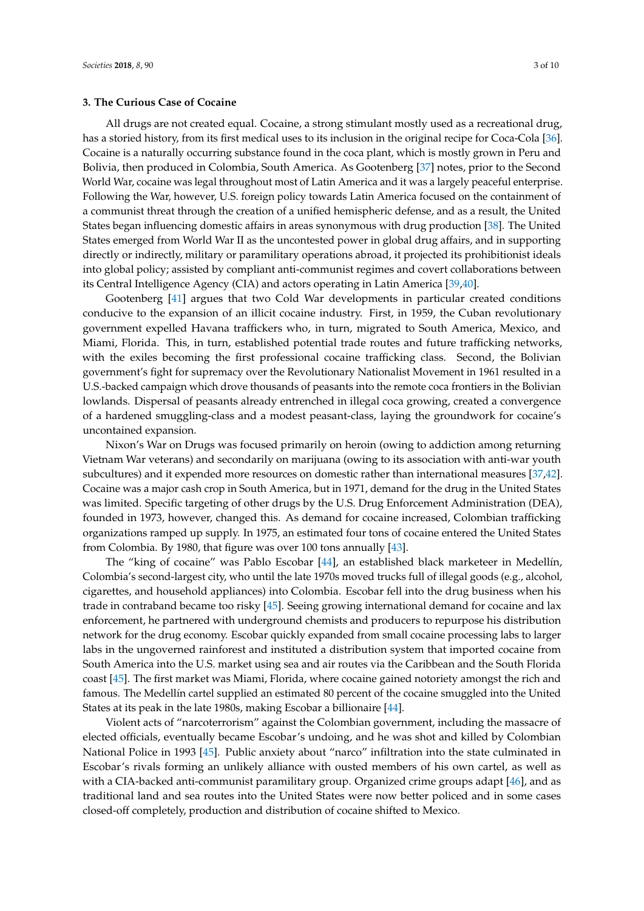## **3. The Curious Case of Cocaine**

All drugs are not created equal. Cocaine, a strong stimulant mostly used as a recreational drug, has a storied history, from its first medical uses to its inclusion in the original recipe for Coca-Cola [\[36\]](#page-7-21). Cocaine is a naturally occurring substance found in the coca plant, which is mostly grown in Peru and Bolivia, then produced in Colombia, South America. As Gootenberg [\[37\]](#page-7-22) notes, prior to the Second World War, cocaine was legal throughout most of Latin America and it was a largely peaceful enterprise. Following the War, however, U.S. foreign policy towards Latin America focused on the containment of a communist threat through the creation of a unified hemispheric defense, and as a result, the United States began influencing domestic affairs in areas synonymous with drug production [\[38\]](#page-7-23). The United States emerged from World War II as the uncontested power in global drug affairs, and in supporting directly or indirectly, military or paramilitary operations abroad, it projected its prohibitionist ideals into global policy; assisted by compliant anti-communist regimes and covert collaborations between its Central Intelligence Agency (CIA) and actors operating in Latin America [\[39,](#page-7-24)[40\]](#page-7-25).

Gootenberg [\[41\]](#page-8-0) argues that two Cold War developments in particular created conditions conducive to the expansion of an illicit cocaine industry. First, in 1959, the Cuban revolutionary government expelled Havana traffickers who, in turn, migrated to South America, Mexico, and Miami, Florida. This, in turn, established potential trade routes and future trafficking networks, with the exiles becoming the first professional cocaine trafficking class. Second, the Bolivian government's fight for supremacy over the Revolutionary Nationalist Movement in 1961 resulted in a U.S.-backed campaign which drove thousands of peasants into the remote coca frontiers in the Bolivian lowlands. Dispersal of peasants already entrenched in illegal coca growing, created a convergence of a hardened smuggling-class and a modest peasant-class, laying the groundwork for cocaine's uncontained expansion.

Nixon's War on Drugs was focused primarily on heroin (owing to addiction among returning Vietnam War veterans) and secondarily on marijuana (owing to its association with anti-war youth subcultures) and it expended more resources on domestic rather than international measures [\[37,](#page-7-22)[42\]](#page-8-1). Cocaine was a major cash crop in South America, but in 1971, demand for the drug in the United States was limited. Specific targeting of other drugs by the U.S. Drug Enforcement Administration (DEA), founded in 1973, however, changed this. As demand for cocaine increased, Colombian trafficking organizations ramped up supply. In 1975, an estimated four tons of cocaine entered the United States from Colombia. By 1980, that figure was over 100 tons annually [\[43\]](#page-8-2).

The "king of cocaine" was Pablo Escobar [\[44\]](#page-8-3), an established black marketeer in Medellín, Colombia's second-largest city, who until the late 1970s moved trucks full of illegal goods (e.g., alcohol, cigarettes, and household appliances) into Colombia. Escobar fell into the drug business when his trade in contraband became too risky [\[45\]](#page-8-4). Seeing growing international demand for cocaine and lax enforcement, he partnered with underground chemists and producers to repurpose his distribution network for the drug economy. Escobar quickly expanded from small cocaine processing labs to larger labs in the ungoverned rainforest and instituted a distribution system that imported cocaine from South America into the U.S. market using sea and air routes via the Caribbean and the South Florida coast [\[45\]](#page-8-4). The first market was Miami, Florida, where cocaine gained notoriety amongst the rich and famous. The Medellín cartel supplied an estimated 80 percent of the cocaine smuggled into the United States at its peak in the late 1980s, making Escobar a billionaire [\[44\]](#page-8-3).

Violent acts of "narcoterrorism" against the Colombian government, including the massacre of elected officials, eventually became Escobar's undoing, and he was shot and killed by Colombian National Police in 1993 [\[45\]](#page-8-4). Public anxiety about "narco" infiltration into the state culminated in Escobar's rivals forming an unlikely alliance with ousted members of his own cartel, as well as with a CIA-backed anti-communist paramilitary group. Organized crime groups adapt [\[46\]](#page-8-5), and as traditional land and sea routes into the United States were now better policed and in some cases closed-off completely, production and distribution of cocaine shifted to Mexico.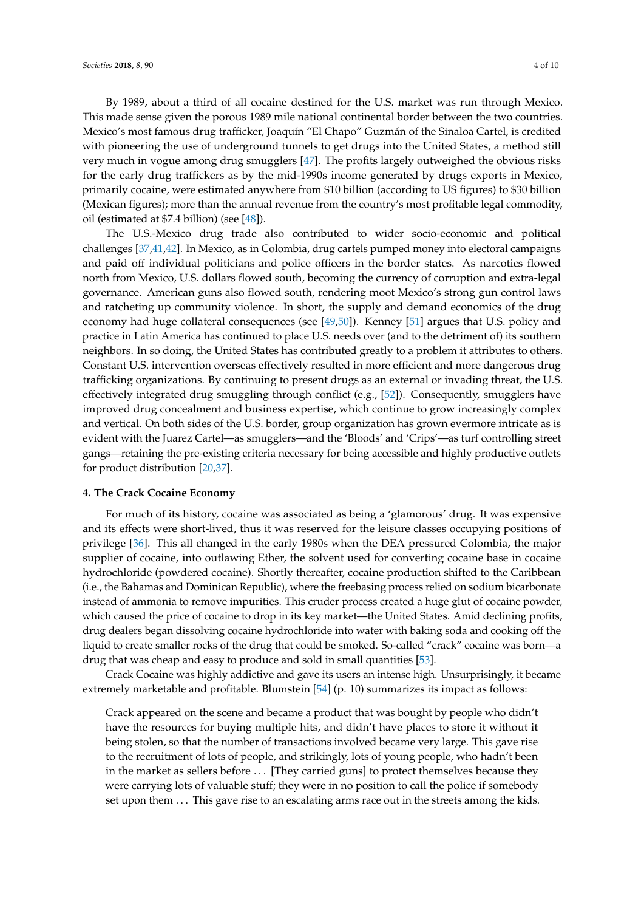By 1989, about a third of all cocaine destined for the U.S. market was run through Mexico. This made sense given the porous 1989 mile national continental border between the two countries. Mexico's most famous drug trafficker, Joaquín "El Chapo" Guzmán of the Sinaloa Cartel, is credited with pioneering the use of underground tunnels to get drugs into the United States, a method still very much in vogue among drug smugglers [\[47\]](#page-8-6). The profits largely outweighed the obvious risks for the early drug traffickers as by the mid-1990s income generated by drugs exports in Mexico, primarily cocaine, were estimated anywhere from \$10 billion (according to US figures) to \$30 billion (Mexican figures); more than the annual revenue from the country's most profitable legal commodity, oil (estimated at \$7.4 billion) (see [\[48\]](#page-8-7)).

The U.S.-Mexico drug trade also contributed to wider socio-economic and political challenges [\[37](#page-7-22)[,41](#page-8-0)[,42\]](#page-8-1). In Mexico, as in Colombia, drug cartels pumped money into electoral campaigns and paid off individual politicians and police officers in the border states. As narcotics flowed north from Mexico, U.S. dollars flowed south, becoming the currency of corruption and extra-legal governance. American guns also flowed south, rendering moot Mexico's strong gun control laws and ratcheting up community violence. In short, the supply and demand economics of the drug economy had huge collateral consequences (see [\[49,](#page-8-8)[50\]](#page-8-9)). Kenney [\[51\]](#page-8-10) argues that U.S. policy and practice in Latin America has continued to place U.S. needs over (and to the detriment of) its southern neighbors. In so doing, the United States has contributed greatly to a problem it attributes to others. Constant U.S. intervention overseas effectively resulted in more efficient and more dangerous drug trafficking organizations. By continuing to present drugs as an external or invading threat, the U.S. effectively integrated drug smuggling through conflict (e.g., [\[52\]](#page-8-11)). Consequently, smugglers have improved drug concealment and business expertise, which continue to grow increasingly complex and vertical. On both sides of the U.S. border, group organization has grown evermore intricate as is evident with the Juarez Cartel—as smugglers—and the 'Bloods' and 'Crips'—as turf controlling street gangs—retaining the pre-existing criteria necessary for being accessible and highly productive outlets for product distribution [\[20,](#page-7-6)[37\]](#page-7-22).

# **4. The Crack Cocaine Economy**

For much of its history, cocaine was associated as being a 'glamorous' drug. It was expensive and its effects were short-lived, thus it was reserved for the leisure classes occupying positions of privilege [\[36\]](#page-7-21). This all changed in the early 1980s when the DEA pressured Colombia, the major supplier of cocaine, into outlawing Ether, the solvent used for converting cocaine base in cocaine hydrochloride (powdered cocaine). Shortly thereafter, cocaine production shifted to the Caribbean (i.e., the Bahamas and Dominican Republic), where the freebasing process relied on sodium bicarbonate instead of ammonia to remove impurities. This cruder process created a huge glut of cocaine powder, which caused the price of cocaine to drop in its key market—the United States. Amid declining profits, drug dealers began dissolving cocaine hydrochloride into water with baking soda and cooking off the liquid to create smaller rocks of the drug that could be smoked. So-called "crack" cocaine was born—a drug that was cheap and easy to produce and sold in small quantities [\[53\]](#page-8-12).

Crack Cocaine was highly addictive and gave its users an intense high. Unsurprisingly, it became extremely marketable and profitable. Blumstein [\[54\]](#page-8-13) (p. 10) summarizes its impact as follows:

Crack appeared on the scene and became a product that was bought by people who didn't have the resources for buying multiple hits, and didn't have places to store it without it being stolen, so that the number of transactions involved became very large. This gave rise to the recruitment of lots of people, and strikingly, lots of young people, who hadn't been in the market as sellers before ... [They carried guns] to protect themselves because they were carrying lots of valuable stuff; they were in no position to call the police if somebody set upon them . . . This gave rise to an escalating arms race out in the streets among the kids.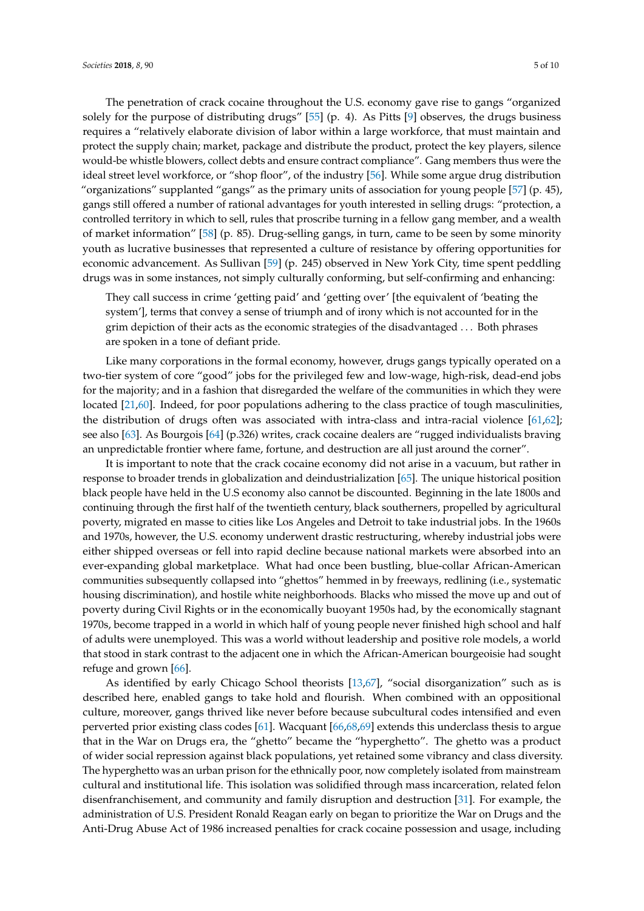The penetration of crack cocaine throughout the U.S. economy gave rise to gangs "organized solely for the purpose of distributing drugs" [\[55\]](#page-8-14) (p. 4). As Pitts [\[9\]](#page-6-8) observes, the drugs business requires a "relatively elaborate division of labor within a large workforce, that must maintain and protect the supply chain; market, package and distribute the product, protect the key players, silence would-be whistle blowers, collect debts and ensure contract compliance". Gang members thus were the ideal street level workforce, or "shop floor", of the industry [\[56\]](#page-8-15). While some argue drug distribution "organizations" supplanted "gangs" as the primary units of association for young people [\[57\]](#page-8-16) (p. 45), gangs still offered a number of rational advantages for youth interested in selling drugs: "protection, a controlled territory in which to sell, rules that proscribe turning in a fellow gang member, and a wealth of market information" [\[58\]](#page-8-17) (p. 85). Drug-selling gangs, in turn, came to be seen by some minority youth as lucrative businesses that represented a culture of resistance by offering opportunities for economic advancement. As Sullivan [\[59\]](#page-8-18) (p. 245) observed in New York City, time spent peddling drugs was in some instances, not simply culturally conforming, but self-confirming and enhancing:

They call success in crime 'getting paid' and 'getting over' [the equivalent of 'beating the system'], terms that convey a sense of triumph and of irony which is not accounted for in the grim depiction of their acts as the economic strategies of the disadvantaged . . . Both phrases are spoken in a tone of defiant pride.

Like many corporations in the formal economy, however, drugs gangs typically operated on a two-tier system of core "good" jobs for the privileged few and low-wage, high-risk, dead-end jobs for the majority; and in a fashion that disregarded the welfare of the communities in which they were located [\[21](#page-7-26)[,60\]](#page-8-19). Indeed, for poor populations adhering to the class practice of tough masculinities, the distribution of drugs often was associated with intra-class and intra-racial violence [\[61,](#page-8-20)[62\]](#page-8-21); see also [\[63\]](#page-8-22). As Bourgois [\[64\]](#page-8-23) (p.326) writes, crack cocaine dealers are "rugged individualists braving an unpredictable frontier where fame, fortune, and destruction are all just around the corner".

It is important to note that the crack cocaine economy did not arise in a vacuum, but rather in response to broader trends in globalization and deindustrialization [\[65\]](#page-8-24). The unique historical position black people have held in the U.S economy also cannot be discounted. Beginning in the late 1800s and continuing through the first half of the twentieth century, black southerners, propelled by agricultural poverty, migrated en masse to cities like Los Angeles and Detroit to take industrial jobs. In the 1960s and 1970s, however, the U.S. economy underwent drastic restructuring, whereby industrial jobs were either shipped overseas or fell into rapid decline because national markets were absorbed into an ever-expanding global marketplace. What had once been bustling, blue-collar African-American communities subsequently collapsed into "ghettos" hemmed in by freeways, redlining (i.e., systematic housing discrimination), and hostile white neighborhoods. Blacks who missed the move up and out of poverty during Civil Rights or in the economically buoyant 1950s had, by the economically stagnant 1970s, become trapped in a world in which half of young people never finished high school and half of adults were unemployed. This was a world without leadership and positive role models, a world that stood in stark contrast to the adjacent one in which the African-American bourgeoisie had sought refuge and grown [\[66\]](#page-8-25).

As identified by early Chicago School theorists [\[13](#page-7-1)[,67\]](#page-8-26), "social disorganization" such as is described here, enabled gangs to take hold and flourish. When combined with an oppositional culture, moreover, gangs thrived like never before because subcultural codes intensified and even perverted prior existing class codes [\[61\]](#page-8-20). Wacquant [\[66](#page-8-25)[,68](#page-8-27)[,69\]](#page-8-28) extends this underclass thesis to argue that in the War on Drugs era, the "ghetto" became the "hyperghetto". The ghetto was a product of wider social repression against black populations, yet retained some vibrancy and class diversity. The hyperghetto was an urban prison for the ethnically poor, now completely isolated from mainstream cultural and institutional life. This isolation was solidified through mass incarceration, related felon disenfranchisement, and community and family disruption and destruction [\[31\]](#page-7-16). For example, the administration of U.S. President Ronald Reagan early on began to prioritize the War on Drugs and the Anti-Drug Abuse Act of 1986 increased penalties for crack cocaine possession and usage, including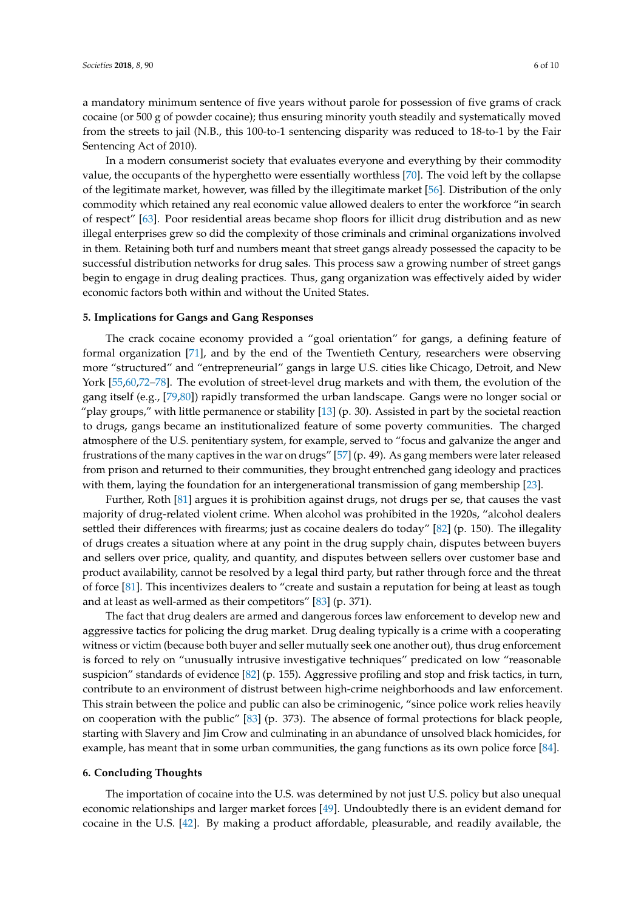a mandatory minimum sentence of five years without parole for possession of five grams of crack cocaine (or 500 g of powder cocaine); thus ensuring minority youth steadily and systematically moved from the streets to jail (N.B., this 100-to-1 sentencing disparity was reduced to 18-to-1 by the Fair Sentencing Act of 2010).

In a modern consumerist society that evaluates everyone and everything by their commodity value, the occupants of the hyperghetto were essentially worthless [\[70\]](#page-8-29). The void left by the collapse of the legitimate market, however, was filled by the illegitimate market [\[56\]](#page-8-15). Distribution of the only commodity which retained any real economic value allowed dealers to enter the workforce "in search of respect" [\[63\]](#page-8-22). Poor residential areas became shop floors for illicit drug distribution and as new illegal enterprises grew so did the complexity of those criminals and criminal organizations involved in them. Retaining both turf and numbers meant that street gangs already possessed the capacity to be successful distribution networks for drug sales. This process saw a growing number of street gangs begin to engage in drug dealing practices. Thus, gang organization was effectively aided by wider economic factors both within and without the United States.

#### **5. Implications for Gangs and Gang Responses**

The crack cocaine economy provided a "goal orientation" for gangs, a defining feature of formal organization [\[71\]](#page-9-0), and by the end of the Twentieth Century, researchers were observing more "structured" and "entrepreneurial" gangs in large U.S. cities like Chicago, Detroit, and New York [\[55,](#page-8-14)[60,](#page-8-19)[72–](#page-9-1)[78\]](#page-9-2). The evolution of street-level drug markets and with them, the evolution of the gang itself (e.g., [\[79,](#page-9-3)[80\]](#page-9-4)) rapidly transformed the urban landscape. Gangs were no longer social or "play groups," with little permanence or stability [\[13\]](#page-7-1) (p. 30). Assisted in part by the societal reaction to drugs, gangs became an institutionalized feature of some poverty communities. The charged atmosphere of the U.S. penitentiary system, for example, served to "focus and galvanize the anger and frustrations of the many captives in the war on drugs" [\[57\]](#page-8-16) (p. 49). As gang members were later released from prison and returned to their communities, they brought entrenched gang ideology and practices with them, laying the foundation for an intergenerational transmission of gang membership [\[23\]](#page-7-8).

Further, Roth [\[81\]](#page-9-5) argues it is prohibition against drugs, not drugs per se, that causes the vast majority of drug-related violent crime. When alcohol was prohibited in the 1920s, "alcohol dealers settled their differences with firearms; just as cocaine dealers do today" [\[82\]](#page-9-6) (p. 150). The illegality of drugs creates a situation where at any point in the drug supply chain, disputes between buyers and sellers over price, quality, and quantity, and disputes between sellers over customer base and product availability, cannot be resolved by a legal third party, but rather through force and the threat of force [\[81\]](#page-9-5). This incentivizes dealers to "create and sustain a reputation for being at least as tough and at least as well-armed as their competitors" [\[83\]](#page-9-7) (p. 371).

The fact that drug dealers are armed and dangerous forces law enforcement to develop new and aggressive tactics for policing the drug market. Drug dealing typically is a crime with a cooperating witness or victim (because both buyer and seller mutually seek one another out), thus drug enforcement is forced to rely on "unusually intrusive investigative techniques" predicated on low "reasonable suspicion" standards of evidence [\[82\]](#page-9-6) (p. 155). Aggressive profiling and stop and frisk tactics, in turn, contribute to an environment of distrust between high-crime neighborhoods and law enforcement. This strain between the police and public can also be criminogenic, "since police work relies heavily on cooperation with the public" [\[83\]](#page-9-7) (p. 373). The absence of formal protections for black people, starting with Slavery and Jim Crow and culminating in an abundance of unsolved black homicides, for example, has meant that in some urban communities, the gang functions as its own police force [\[84\]](#page-9-8).

### **6. Concluding Thoughts**

The importation of cocaine into the U.S. was determined by not just U.S. policy but also unequal economic relationships and larger market forces [\[49\]](#page-8-8). Undoubtedly there is an evident demand for cocaine in the U.S. [\[42\]](#page-8-1). By making a product affordable, pleasurable, and readily available, the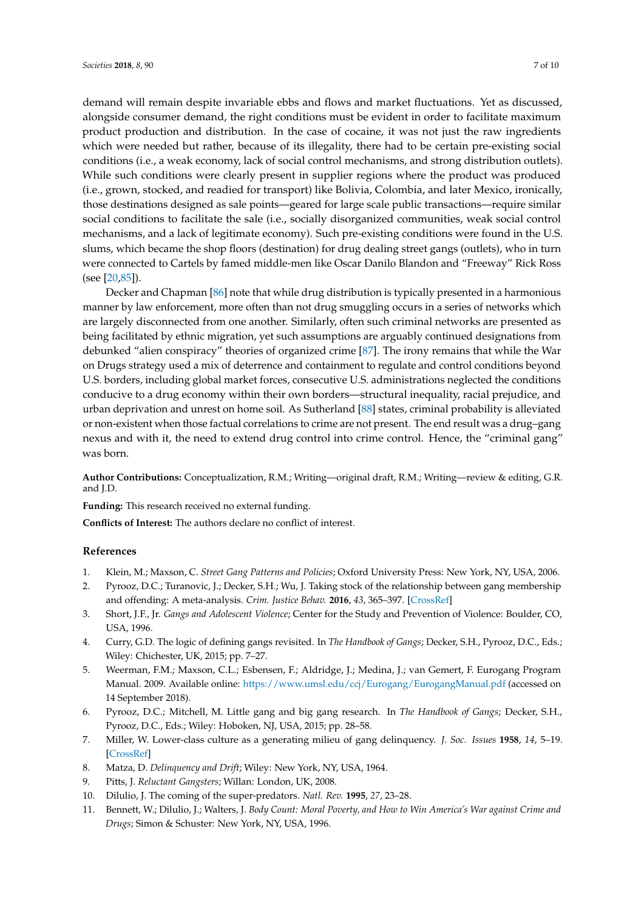demand will remain despite invariable ebbs and flows and market fluctuations. Yet as discussed, alongside consumer demand, the right conditions must be evident in order to facilitate maximum product production and distribution. In the case of cocaine, it was not just the raw ingredients which were needed but rather, because of its illegality, there had to be certain pre-existing social conditions (i.e., a weak economy, lack of social control mechanisms, and strong distribution outlets). While such conditions were clearly present in supplier regions where the product was produced (i.e., grown, stocked, and readied for transport) like Bolivia, Colombia, and later Mexico, ironically, those destinations designed as sale points—geared for large scale public transactions—require similar social conditions to facilitate the sale (i.e., socially disorganized communities, weak social control mechanisms, and a lack of legitimate economy). Such pre-existing conditions were found in the U.S. slums, which became the shop floors (destination) for drug dealing street gangs (outlets), who in turn were connected to Cartels by famed middle-men like Oscar Danilo Blandon and "Freeway" Rick Ross (see [\[20,](#page-7-6)[85\]](#page-9-9)).

Decker and Chapman [\[86\]](#page-9-10) note that while drug distribution is typically presented in a harmonious manner by law enforcement, more often than not drug smuggling occurs in a series of networks which are largely disconnected from one another. Similarly, often such criminal networks are presented as being facilitated by ethnic migration, yet such assumptions are arguably continued designations from debunked "alien conspiracy" theories of organized crime [\[87\]](#page-9-11). The irony remains that while the War on Drugs strategy used a mix of deterrence and containment to regulate and control conditions beyond U.S. borders, including global market forces, consecutive U.S. administrations neglected the conditions conducive to a drug economy within their own borders—structural inequality, racial prejudice, and urban deprivation and unrest on home soil. As Sutherland [\[88\]](#page-9-12) states, criminal probability is alleviated or non-existent when those factual correlations to crime are not present. The end result was a drug–gang nexus and with it, the need to extend drug control into crime control. Hence, the "criminal gang" was born.

**Author Contributions:** Conceptualization, R.M.; Writing—original draft, R.M.; Writing—review & editing, G.R. and J.D.

**Funding:** This research received no external funding.

**Conflicts of Interest:** The authors declare no conflict of interest.

#### **References**

- <span id="page-6-0"></span>1. Klein, M.; Maxson, C. *Street Gang Patterns and Policies*; Oxford University Press: New York, NY, USA, 2006.
- <span id="page-6-1"></span>2. Pyrooz, D.C.; Turanovic, J.; Decker, S.H.; Wu, J. Taking stock of the relationship between gang membership and offending: A meta-analysis. *Crim. Justice Behav.* **2016**, *43*, 365–397. [\[CrossRef\]](http://dx.doi.org/10.1177/0093854815605528)
- <span id="page-6-2"></span>3. Short, J.F., Jr. *Gangs and Adolescent Violence*; Center for the Study and Prevention of Violence: Boulder, CO, USA, 1996.
- <span id="page-6-3"></span>4. Curry, G.D. The logic of defining gangs revisited. In *The Handbook of Gangs*; Decker, S.H., Pyrooz, D.C., Eds.; Wiley: Chichester, UK, 2015; pp. 7–27.
- <span id="page-6-4"></span>5. Weerman, F.M.; Maxson, C.L.; Esbensen, F.; Aldridge, J.; Medina, J.; van Gemert, F. Eurogang Program Manual. 2009. Available online: <https://www.umsl.edu/ccj/Eurogang/EurogangManual.pdf> (accessed on 14 September 2018).
- <span id="page-6-5"></span>6. Pyrooz, D.C.; Mitchell, M. Little gang and big gang research. In *The Handbook of Gangs*; Decker, S.H., Pyrooz, D.C., Eds.; Wiley: Hoboken, NJ, USA, 2015; pp. 28–58.
- <span id="page-6-6"></span>7. Miller, W. Lower-class culture as a generating milieu of gang delinquency. *J. Soc. Issues* **1958**, *14*, 5–19. [\[CrossRef\]](http://dx.doi.org/10.1111/j.1540-4560.1958.tb01413.x)
- <span id="page-6-7"></span>8. Matza, D. *Delinquency and Drift*; Wiley: New York, NY, USA, 1964.
- <span id="page-6-9"></span><span id="page-6-8"></span>9. Pitts, J. *Reluctant Gangsters*; Willan: London, UK, 2008.
- <span id="page-6-10"></span>10. Dilulio, J. The coming of the super-predators. *Natl. Rev.* **1995**, *27*, 23–28.
- 11. Bennett, W.; Dilulio, J.; Walters, J. *Body Count: Moral Poverty, and How to Win America's War against Crime and Drugs*; Simon & Schuster: New York, NY, USA, 1996.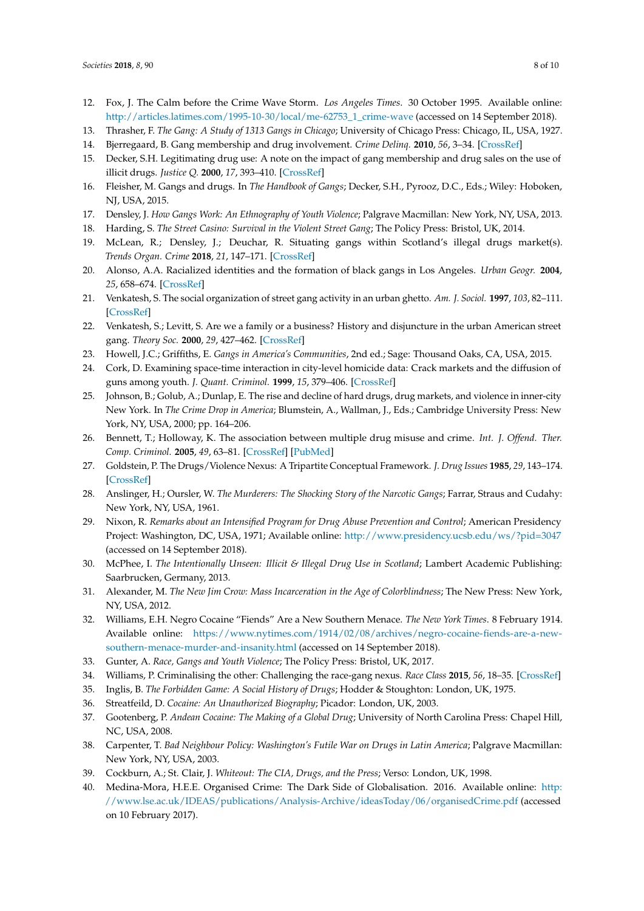- <span id="page-7-0"></span>12. Fox, J. The Calm before the Crime Wave Storm. *Los Angeles Times*. 30 October 1995. Available online: [http://articles.latimes.com/1995-10-30/local/me-62753\\_1\\_crime-wave](http://articles.latimes.com/1995-10-30/local/me-62753_1_crime-wave) (accessed on 14 September 2018).
- <span id="page-7-1"></span>13. Thrasher, F. *The Gang: A Study of 1313 Gangs in Chicago*; University of Chicago Press: Chicago, IL, USA, 1927.
- <span id="page-7-2"></span>14. Bjerregaard, B. Gang membership and drug involvement. *Crime Delinq.* **2010**, *56*, 3–34. [\[CrossRef\]](http://dx.doi.org/10.1177/0011128707307217)
- 15. Decker, S.H. Legitimating drug use: A note on the impact of gang membership and drug sales on the use of illicit drugs. *Justice Q.* **2000**, *17*, 393–410. [\[CrossRef\]](http://dx.doi.org/10.1080/07418820000096381)
- <span id="page-7-3"></span>16. Fleisher, M. Gangs and drugs. In *The Handbook of Gangs*; Decker, S.H., Pyrooz, D.C., Eds.; Wiley: Hoboken, NJ, USA, 2015.
- <span id="page-7-4"></span>17. Densley, J. *How Gangs Work: An Ethnography of Youth Violence*; Palgrave Macmillan: New York, NY, USA, 2013.
- 18. Harding, S. *The Street Casino: Survival in the Violent Street Gang*; The Policy Press: Bristol, UK, 2014.
- <span id="page-7-5"></span>19. McLean, R.; Densley, J.; Deuchar, R. Situating gangs within Scotland's illegal drugs market(s). *Trends Organ. Crime* **2018**, *21*, 147–171. [\[CrossRef\]](http://dx.doi.org/10.1007/s12117-017-9328-1)
- <span id="page-7-6"></span>20. Alonso, A.A. Racialized identities and the formation of black gangs in Los Angeles. *Urban Geogr.* **2004**, *25*, 658–674. [\[CrossRef\]](http://dx.doi.org/10.2747/0272-3638.25.7.658)
- <span id="page-7-26"></span>21. Venkatesh, S. The social organization of street gang activity in an urban ghetto. *Am. J. Sociol.* **1997**, *103*, 82–111. [\[CrossRef\]](http://dx.doi.org/10.1086/231172)
- <span id="page-7-7"></span>22. Venkatesh, S.; Levitt, S. Are we a family or a business? History and disjuncture in the urban American street gang. *Theory Soc.* **2000**, *29*, 427–462. [\[CrossRef\]](http://dx.doi.org/10.1023/A:1007151703198)
- <span id="page-7-9"></span><span id="page-7-8"></span>23. Howell, J.C.; Griffiths, E. *Gangs in America's Communities*, 2nd ed.; Sage: Thousand Oaks, CA, USA, 2015.
- 24. Cork, D. Examining space-time interaction in city-level homicide data: Crack markets and the diffusion of guns among youth. *J. Quant. Criminol.* **1999**, *15*, 379–406. [\[CrossRef\]](http://dx.doi.org/10.1023/A:1007540007803)
- <span id="page-7-10"></span>25. Johnson, B.; Golub, A.; Dunlap, E. The rise and decline of hard drugs, drug markets, and violence in inner-city New York. In *The Crime Drop in America*; Blumstein, A., Wallman, J., Eds.; Cambridge University Press: New York, NY, USA, 2000; pp. 164–206.
- <span id="page-7-11"></span>26. Bennett, T.; Holloway, K. The association between multiple drug misuse and crime. *Int. J. Offend. Ther. Comp. Criminol.* **2005**, *49*, 63–81. [\[CrossRef\]](http://dx.doi.org/10.1177/0306624X04269003) [\[PubMed\]](http://www.ncbi.nlm.nih.gov/pubmed/15616113)
- <span id="page-7-12"></span>27. Goldstein, P. The Drugs/Violence Nexus: A Tripartite Conceptual Framework. *J. Drug Issues* **1985**, *29*, 143–174. [\[CrossRef\]](http://dx.doi.org/10.1177/002204268501500406)
- <span id="page-7-13"></span>28. Anslinger, H.; Oursler, W. *The Murderers: The Shocking Story of the Narcotic Gangs*; Farrar, Straus and Cudahy: New York, NY, USA, 1961.
- <span id="page-7-14"></span>29. Nixon, R. *Remarks about an Intensified Program for Drug Abuse Prevention and Control*; American Presidency Project: Washington, DC, USA, 1971; Available online: <http://www.presidency.ucsb.edu/ws/?pid=3047> (accessed on 14 September 2018).
- <span id="page-7-15"></span>30. McPhee, I. *The Intentionally Unseen: Illicit & Illegal Drug Use in Scotland*; Lambert Academic Publishing: Saarbrucken, Germany, 2013.
- <span id="page-7-16"></span>31. Alexander, M. *The New Jim Crow: Mass Incarceration in the Age of Colorblindness*; The New Press: New York, NY, USA, 2012.
- <span id="page-7-17"></span>32. Williams, E.H. Negro Cocaine "Fiends" Are a New Southern Menace. *The New York Times*. 8 February 1914. Available online: [https://www.nytimes.com/1914/02/08/archives/negro-cocaine-fiends-are-a-new](https://www.nytimes.com/1914/02/08/archives/negro-cocaine-fiends-are-a-new-southern-menace-murder-and-insanity.html)[southern-menace-murder-and-insanity.html](https://www.nytimes.com/1914/02/08/archives/negro-cocaine-fiends-are-a-new-southern-menace-murder-and-insanity.html) (accessed on 14 September 2018).
- <span id="page-7-18"></span>33. Gunter, A. *Race, Gangs and Youth Violence*; The Policy Press: Bristol, UK, 2017.
- <span id="page-7-19"></span>34. Williams, P. Criminalising the other: Challenging the race-gang nexus. *Race Class* **2015**, *56*, 18–35. [\[CrossRef\]](http://dx.doi.org/10.1177/0306396814556221)
- <span id="page-7-20"></span>35. Inglis, B. *The Forbidden Game: A Social History of Drugs*; Hodder & Stoughton: London, UK, 1975.
- <span id="page-7-21"></span>36. Streatfeild, D. *Cocaine: An Unauthorized Biography*; Picador: London, UK, 2003.
- <span id="page-7-22"></span>37. Gootenberg, P. *Andean Cocaine: The Making of a Global Drug*; University of North Carolina Press: Chapel Hill, NC, USA, 2008.
- <span id="page-7-23"></span>38. Carpenter, T. *Bad Neighbour Policy: Washington's Futile War on Drugs in Latin America*; Palgrave Macmillan: New York, NY, USA, 2003.
- <span id="page-7-24"></span>39. Cockburn, A.; St. Clair, J. *Whiteout: The CIA, Drugs, and the Press*; Verso: London, UK, 1998.
- <span id="page-7-25"></span>40. Medina-Mora, H.E.E. Organised Crime: The Dark Side of Globalisation. 2016. Available online: [http:](http://www.lse.ac.uk/IDEAS/publications/Analysis-Archive/ideasToday/06/organisedCrime.pdf) [//www.lse.ac.uk/IDEAS/publications/Analysis-Archive/ideasToday/06/organisedCrime.pdf](http://www.lse.ac.uk/IDEAS/publications/Analysis-Archive/ideasToday/06/organisedCrime.pdf) (accessed on 10 February 2017).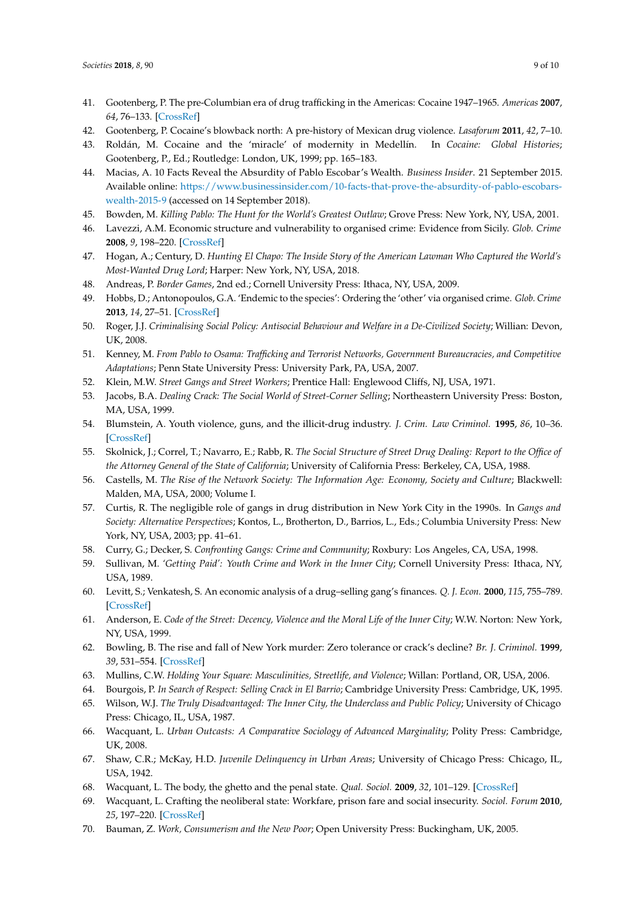- <span id="page-8-0"></span>41. Gootenberg, P. The pre-Columbian era of drug trafficking in the Americas: Cocaine 1947–1965. *Americas* **2007**, *64*, 76–133. [\[CrossRef\]](http://dx.doi.org/10.1353/tam.2007.0148)
- <span id="page-8-1"></span>42. Gootenberg, P. Cocaine's blowback north: A pre-history of Mexican drug violence. *Lasaforum* **2011**, *42*, 7–10.
- <span id="page-8-2"></span>43. Roldán, M. Cocaine and the 'miracle' of modernity in Medellín. In *Cocaine: Global Histories*; Gootenberg, P., Ed.; Routledge: London, UK, 1999; pp. 165–183.
- <span id="page-8-3"></span>44. Macias, A. 10 Facts Reveal the Absurdity of Pablo Escobar's Wealth. *Business Insider*. 21 September 2015. Available online: [https://www.businessinsider.com/10-facts-that-prove-the-absurdity-of-pablo-escobars](https://www.businessinsider.com/10-facts-that-prove-the-absurdity-of-pablo-escobars-wealth-2015-9)[wealth-2015-9](https://www.businessinsider.com/10-facts-that-prove-the-absurdity-of-pablo-escobars-wealth-2015-9) (accessed on 14 September 2018).
- <span id="page-8-4"></span>45. Bowden, M. *Killing Pablo: The Hunt for the World's Greatest Outlaw*; Grove Press: New York, NY, USA, 2001.
- <span id="page-8-5"></span>46. Lavezzi, A.M. Economic structure and vulnerability to organised crime: Evidence from Sicily. *Glob. Crime* **2008**, *9*, 198–220. [\[CrossRef\]](http://dx.doi.org/10.1080/17440570802254312)
- <span id="page-8-6"></span>47. Hogan, A.; Century, D. *Hunting El Chapo: The Inside Story of the American Lawman Who Captured the World's Most-Wanted Drug Lord*; Harper: New York, NY, USA, 2018.
- <span id="page-8-7"></span>48. Andreas, P. *Border Games*, 2nd ed.; Cornell University Press: Ithaca, NY, USA, 2009.
- <span id="page-8-8"></span>49. Hobbs, D.; Antonopoulos, G.A. 'Endemic to the species': Ordering the 'other' via organised crime. *Glob. Crime* **2013**, *14*, 27–51. [\[CrossRef\]](http://dx.doi.org/10.1080/17440572.2012.753324)
- <span id="page-8-9"></span>50. Roger, J.J. *Criminalising Social Policy: Antisocial Behaviour and Welfare in a De-Civilized Society*; Willian: Devon, UK, 2008.
- <span id="page-8-10"></span>51. Kenney, M. *From Pablo to Osama: Trafficking and Terrorist Networks, Government Bureaucracies, and Competitive Adaptations*; Penn State University Press: University Park, PA, USA, 2007.
- <span id="page-8-11"></span>52. Klein, M.W. *Street Gangs and Street Workers*; Prentice Hall: Englewood Cliffs, NJ, USA, 1971.
- <span id="page-8-12"></span>53. Jacobs, B.A. *Dealing Crack: The Social World of Street-Corner Selling*; Northeastern University Press: Boston, MA, USA, 1999.
- <span id="page-8-13"></span>54. Blumstein, A. Youth violence, guns, and the illicit-drug industry. *J. Crim. Law Criminol.* **1995**, *86*, 10–36. [\[CrossRef\]](http://dx.doi.org/10.2307/1143998)
- <span id="page-8-14"></span>55. Skolnick, J.; Correl, T.; Navarro, E.; Rabb, R. *The Social Structure of Street Drug Dealing: Report to the Office of the Attorney General of the State of California*; University of California Press: Berkeley, CA, USA, 1988.
- <span id="page-8-15"></span>56. Castells, M. *The Rise of the Network Society: The Information Age: Economy, Society and Culture*; Blackwell: Malden, MA, USA, 2000; Volume I.
- <span id="page-8-16"></span>57. Curtis, R. The negligible role of gangs in drug distribution in New York City in the 1990s. In *Gangs and Society: Alternative Perspectives*; Kontos, L., Brotherton, D., Barrios, L., Eds.; Columbia University Press: New York, NY, USA, 2003; pp. 41–61.
- <span id="page-8-17"></span>58. Curry, G.; Decker, S. *Confronting Gangs: Crime and Community*; Roxbury: Los Angeles, CA, USA, 1998.
- <span id="page-8-18"></span>59. Sullivan, M. *'Getting Paid': Youth Crime and Work in the Inner City*; Cornell University Press: Ithaca, NY, USA, 1989.
- <span id="page-8-19"></span>60. Levitt, S.; Venkatesh, S. An economic analysis of a drug–selling gang's finances. *Q. J. Econ.* **2000**, *115*, 755–789. [\[CrossRef\]](http://dx.doi.org/10.1162/003355300554908)
- <span id="page-8-20"></span>61. Anderson, E. *Code of the Street: Decency, Violence and the Moral Life of the Inner City*; W.W. Norton: New York, NY, USA, 1999.
- <span id="page-8-21"></span>62. Bowling, B. The rise and fall of New York murder: Zero tolerance or crack's decline? *Br. J. Criminol.* **1999**, *39*, 531–554. [\[CrossRef\]](http://dx.doi.org/10.1093/bjc/39.4.531)
- <span id="page-8-22"></span>63. Mullins, C.W. *Holding Your Square: Masculinities, Streetlife, and Violence*; Willan: Portland, OR, USA, 2006.
- <span id="page-8-23"></span>64. Bourgois, P. *In Search of Respect: Selling Crack in El Barrio*; Cambridge University Press: Cambridge, UK, 1995.
- <span id="page-8-24"></span>65. Wilson, W.J. *The Truly Disadvantaged: The Inner City, the Underclass and Public Policy*; University of Chicago Press: Chicago, IL, USA, 1987.
- <span id="page-8-25"></span>66. Wacquant, L. *Urban Outcasts: A Comparative Sociology of Advanced Marginality*; Polity Press: Cambridge, UK, 2008.
- <span id="page-8-26"></span>67. Shaw, C.R.; McKay, H.D. *Juvenile Delinquency in Urban Areas*; University of Chicago Press: Chicago, IL, USA, 1942.
- <span id="page-8-27"></span>68. Wacquant, L. The body, the ghetto and the penal state. *Qual. Sociol.* **2009**, *32*, 101–129. [\[CrossRef\]](http://dx.doi.org/10.1007/s11133-008-9112-2)
- <span id="page-8-28"></span>69. Wacquant, L. Crafting the neoliberal state: Workfare, prison fare and social insecurity. *Sociol. Forum* **2010**, *25*, 197–220. [\[CrossRef\]](http://dx.doi.org/10.1111/j.1573-7861.2010.01173.x)
- <span id="page-8-29"></span>70. Bauman, Z. *Work, Consumerism and the New Poor*; Open University Press: Buckingham, UK, 2005.